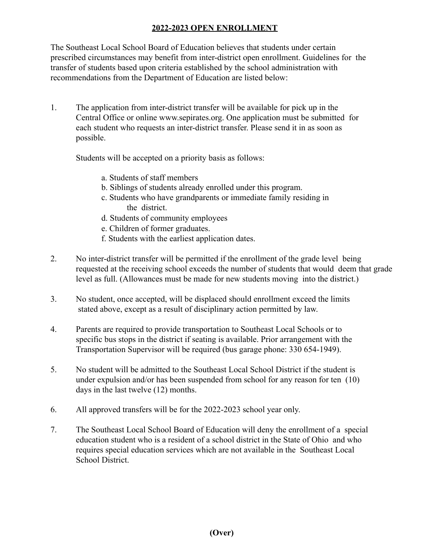## **2022-2023 OPEN ENROLLMENT**

The Southeast Local School Board of Education believes that students under certain prescribed circumstances may benefit from inter-district open enrollment. Guidelines for the transfer of students based upon criteria established by the school administration with recommendations from the Department of Education are listed below:

1. The application from inter-district transfer will be available for pick up in the Central Office or online www.sepirates.org. One application must be submitted for each student who requests an inter-district transfer. Please send it in as soon as possible.

Students will be accepted on a priority basis as follows:

- a. Students of staff members
- b. Siblings of students already enrolled under this program.
- c. Students who have grandparents or immediate family residing in the district.
- d. Students of community employees
- e. Children of former graduates.
- f. Students with the earliest application dates.
- 2. No inter-district transfer will be permitted if the enrollment of the grade level being requested at the receiving school exceeds the number of students that would deem that grade level as full. (Allowances must be made for new students moving into the district.)
- 3. No student, once accepted, will be displaced should enrollment exceed the limits stated above, except as a result of disciplinary action permitted by law.
- 4. Parents are required to provide transportation to Southeast Local Schools or to specific bus stops in the district if seating is available. Prior arrangement with the Transportation Supervisor will be required (bus garage phone: 330 654-1949).
- 5. No student will be admitted to the Southeast Local School District if the student is under expulsion and/or has been suspended from school for any reason for ten (10) days in the last twelve (12) months.
- 6. All approved transfers will be for the 2022-2023 school year only.
- 7. The Southeast Local School Board of Education will deny the enrollment of a special education student who is a resident of a school district in the State of Ohio and who requires special education services which are not available in the Southeast Local School District.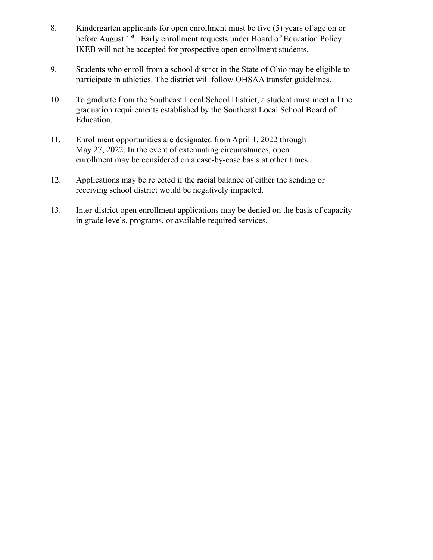- 8. Kindergarten applicants for open enrollment must be five (5) years of age on or before August 1<sup>st</sup>. Early enrollment requests under Board of Education Policy IKEB will not be accepted for prospective open enrollment students.
- 9. Students who enroll from a school district in the State of Ohio may be eligible to participate in athletics. The district will follow OHSAA transfer guidelines.
- 10. To graduate from the Southeast Local School District, a student must meet all the graduation requirements established by the Southeast Local School Board of Education.
- 11. Enrollment opportunities are designated from April 1, 2022 through May 27, 2022. In the event of extenuating circumstances, open enrollment may be considered on a case-by-case basis at other times.
- 12. Applications may be rejected if the racial balance of either the sending or receiving school district would be negatively impacted.
- 13. Inter-district open enrollment applications may be denied on the basis of capacity in grade levels, programs, or available required services.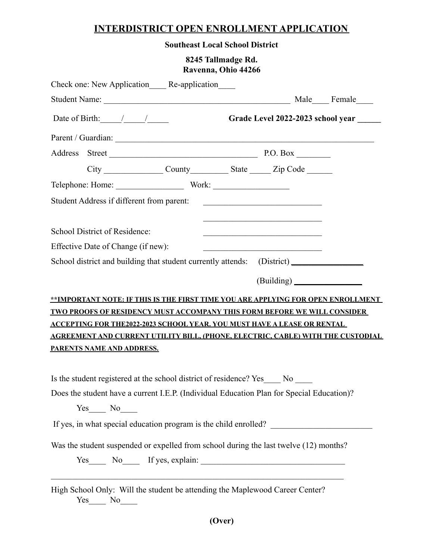## **INTERDISTRICT OPEN ENROLLMENT APPLICATION**

**Southeast Local School District**

## **8245 Tallmadge Rd. Ravenna, Ohio 44266**

| Check one: New Application_____ Re-application____                                        |  |                                                                                                                     |  |
|-------------------------------------------------------------------------------------------|--|---------------------------------------------------------------------------------------------------------------------|--|
|                                                                                           |  |                                                                                                                     |  |
| Date of Birth: $\frac{1}{\sqrt{2\pi}}$                                                    |  | Grade Level 2022-2023 school year                                                                                   |  |
|                                                                                           |  |                                                                                                                     |  |
| Address Street P.O. Box                                                                   |  |                                                                                                                     |  |
| City County County State Zip Code                                                         |  |                                                                                                                     |  |
|                                                                                           |  |                                                                                                                     |  |
| Student Address if different from parent:                                                 |  |                                                                                                                     |  |
|                                                                                           |  |                                                                                                                     |  |
| School District of Residence:                                                             |  |                                                                                                                     |  |
| Effective Date of Change (if new):                                                        |  | <u> 1989 - Johann Barn, mars eta bainar eta baina eta baina eta baina eta baina eta baina eta baina eta baina e</u> |  |
| School district and building that student currently attends: (District) _______________   |  |                                                                                                                     |  |
|                                                                                           |  |                                                                                                                     |  |
| **IMPORTANT NOTE: IF THIS IS THE FIRST TIME YOU ARE APPLYING FOR OPEN ENROLLMENT          |  |                                                                                                                     |  |
| <u>TWO PROOFS OF RESIDENCY MUST ACCOMPANY THIS FORM BEFORE WE WILL CONSIDER</u>           |  |                                                                                                                     |  |
| <u>ACCEPTING FOR THE2022-2023 SCHOOL YEAR. YOU MUST HAVE A LEASE OR RENTAL</u>            |  |                                                                                                                     |  |
| AGREEMENT AND CURRENT UTILITY BILL, (PHONE, ELECTRIC, CABLE) WITH THE CUSTODIAL           |  |                                                                                                                     |  |
| <u>PARENTS NAME AND ADDRESS.</u>                                                          |  |                                                                                                                     |  |
| Is the student registered at the school district of residence? Yes ______ No _____        |  |                                                                                                                     |  |
| Does the student have a current I.E.P. (Individual Education Plan for Special Education)? |  |                                                                                                                     |  |
| $Yes$ No $N$                                                                              |  |                                                                                                                     |  |
|                                                                                           |  |                                                                                                                     |  |
|                                                                                           |  |                                                                                                                     |  |
| Was the student suspended or expelled from school during the last twelve (12) months?     |  |                                                                                                                     |  |
| Yes No If yes, explain:                                                                   |  |                                                                                                                     |  |
|                                                                                           |  |                                                                                                                     |  |
| High School Only: Will the student be attending the Maplewood Career Center?              |  |                                                                                                                     |  |

Yes\_\_\_\_ No\_\_\_\_